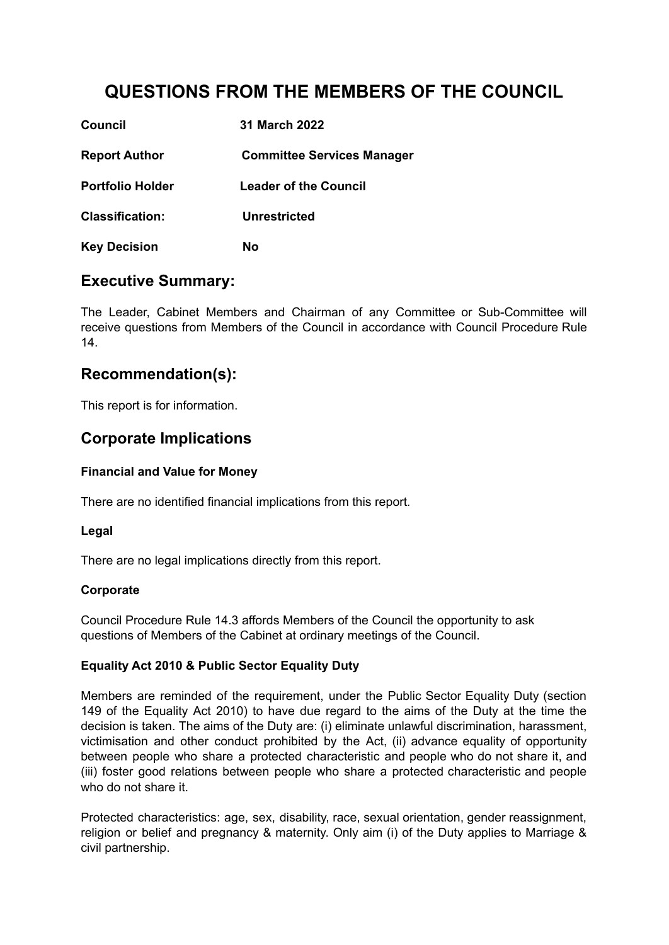# **QUESTIONS FROM THE MEMBERS OF THE COUNCIL**

| <b>Council</b>          | 31 March 2022                     |
|-------------------------|-----------------------------------|
| <b>Report Author</b>    | <b>Committee Services Manager</b> |
| <b>Portfolio Holder</b> | <b>Leader of the Council</b>      |
| <b>Classification:</b>  | Unrestricted                      |
| <b>Key Decision</b>     | No                                |

### **Executive Summary:**

The Leader, Cabinet Members and Chairman of any Committee or Sub-Committee will receive questions from Members of the Council in accordance with Council Procedure Rule 14.

## **Recommendation(s):**

This report is for information.

### **Corporate Implications**

#### **Financial and Value for Money**

There are no identified financial implications from this report*.*

#### **Legal**

There are no legal implications directly from this report.

#### **Corporate**

Council Procedure Rule 14.3 affords Members of the Council the opportunity to ask questions of Members of the Cabinet at ordinary meetings of the Council.

#### **Equality Act 2010 & Public Sector Equality Duty**

Members are reminded of the requirement, under the Public Sector Equality Duty (section 149 of the Equality Act 2010) to have due regard to the aims of the Duty at the time the decision is taken. The aims of the Duty are: (i) eliminate unlawful discrimination, harassment, victimisation and other conduct prohibited by the Act, (ii) advance equality of opportunity between people who share a protected characteristic and people who do not share it, and (iii) foster good relations between people who share a protected characteristic and people who do not share it.

Protected characteristics: age, sex, disability, race, sexual orientation, gender reassignment, religion or belief and pregnancy & maternity. Only aim (i) of the Duty applies to Marriage & civil partnership.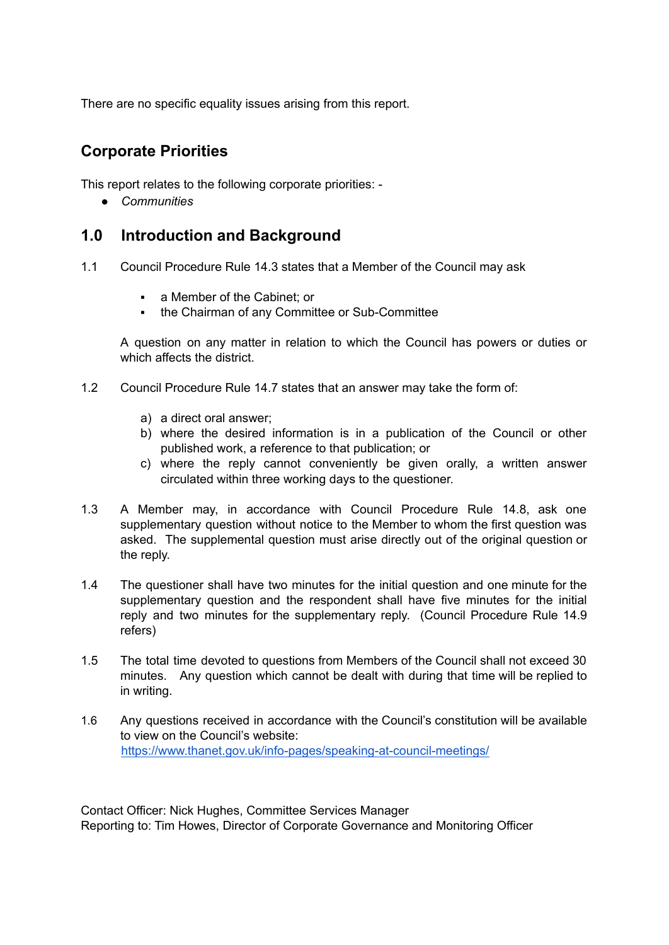There are no specific equality issues arising from this report.

# **Corporate Priorities**

This report relates to the following corporate priorities: -

*● Communities*

### **1.0 Introduction and Background**

- 1.1 Council Procedure Rule 14.3 states that a Member of the Council may ask
	- a Member of the Cabinet: or
	- the Chairman of any Committee or Sub-Committee

A question on any matter in relation to which the Council has powers or duties or which affects the district.

- 1.2 Council Procedure Rule 14.7 states that an answer may take the form of:
	- a) a direct oral answer;
	- b) where the desired information is in a publication of the Council or other published work, a reference to that publication; or
	- c) where the reply cannot conveniently be given orally, a written answer circulated within three working days to the questioner.
- 1.3 A Member may, in accordance with Council Procedure Rule 14.8, ask one supplementary question without notice to the Member to whom the first question was asked. The supplemental question must arise directly out of the original question or the reply.
- 1.4 The questioner shall have two minutes for the initial question and one minute for the supplementary question and the respondent shall have five minutes for the initial reply and two minutes for the supplementary reply. (Council Procedure Rule 14.9 refers)
- 1.5 The total time devoted to questions from Members of the Council shall not exceed 30 minutes. Any question which cannot be dealt with during that time will be replied to in writing.
- 1.6 Any questions received in accordance with the Council's constitution will be available to view on the Council's website: <https://www.thanet.gov.uk/info-pages/speaking-at-council-meetings/>

Contact Officer: Nick Hughes, Committee Services Manager Reporting to: Tim Howes, Director of Corporate Governance and Monitoring Officer